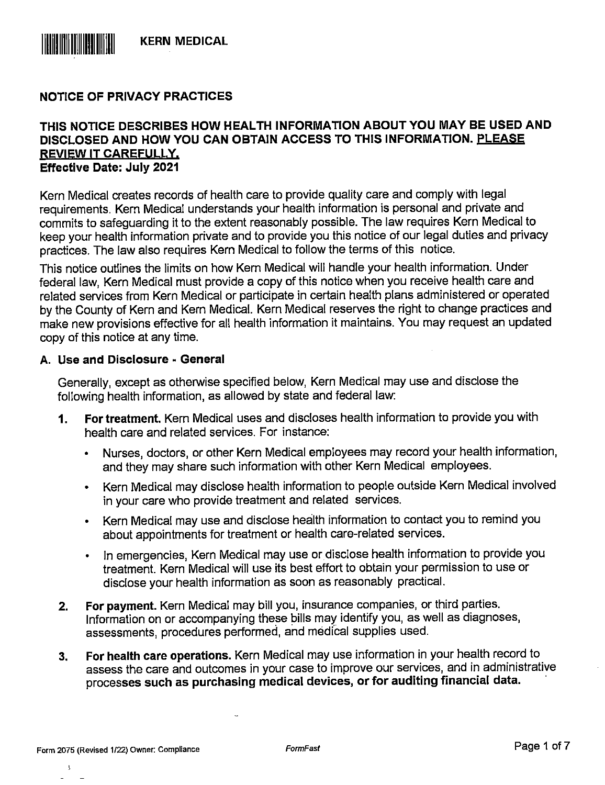

## NOTICE OF PRIVACY PRACTICES

#### THIS NOTICE DESCRIBES HOW HEALTH INFORMATION ABOUT YOU MAY BE USED AND DISCLOSED AND HOW YOU CAN OBTAIN ACCESS TO THIS INFORMATION. PLEASE REVIEW IT CAREFULLY. Effective Date: July 2021

Kern Medical creates records of health care to provide quality care and comply with legal requirements. Kern Medical understands your health information is personal and private and commits to safeguarding it to the extent reasonably possible. The law requires Kern Medical to keep your health information private and to provide you this notice of our legal duties and privacy practices. The law also requires Kern Medical to follow the terms of this notice.

This notice outlines the limits on how Kern Medical will handle your health information. Under federal law, Kern Medical must provide a copy of this notice when you receive health care and related services from Kern Medical or participate in certain health plans administered or operated by the County of Kern and Kern Medical. Kern Medical reserves the right to change practices and make new provisions effective for all health information it maintains. You may request an updated copy of this notice at any time.

#### A. Use and Disclosure - General

Generally, except as otherwise specified below, Kern Medical may use and disclose the following health information, as allowed by state and federal law:

- 1. For treatment. Kern Medical uses and discloses health information to provide you with health care and related services. For instance:
	- Nurses, doctors, or other Kern Medical employees may record your health information, and they may share such information with other Kern Medical employees.
	- Kern Medical may disclose health information to people outside Kern Medical involved in your care who provide treatment and related services.
	- Kern Medical may use and disclose health information to contact you to remind you about appointments for treatment or health care-related services.
	- In emergencies, Kern Medical may use or disclose health information to provide you treatment. Kern Medical will use its best effort to obtain your permission to use or disclose your health information as soon as reasonably practical.
- 2. For payment. Kern Medical may bill you, insurance companies, or third parties. Information on or accompanying these bills may identify you, as well as diagnoses, assessments, procedures performed, and medical supplies used.
- 3. For health care operations. Kern Medical may use information in your health record to assess the care and outcomes in your case to improve our services, and in administrative processes such as purchasing medical devices, or for auditing financial data.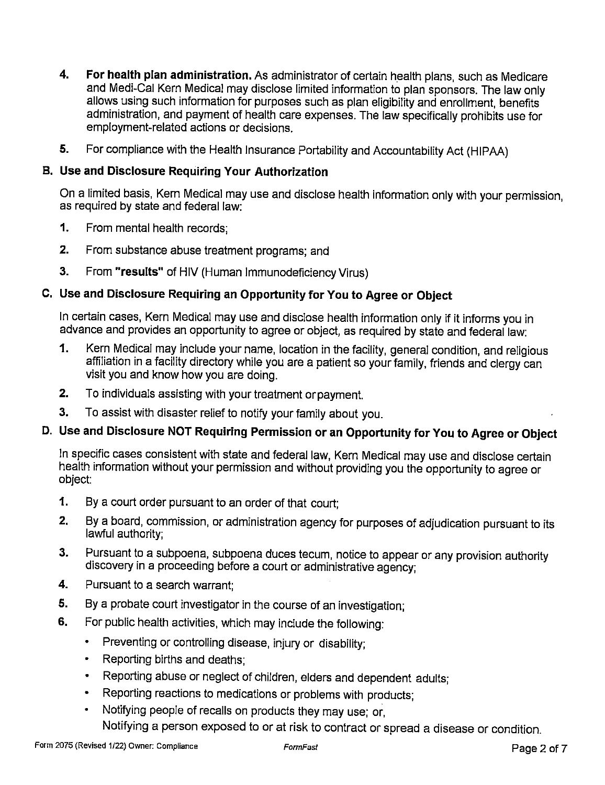- 4. For health plan administration. As administrator of certain health plans, such as Medicare and Medi-Cal Kern Medical may disciose iimited information to pian sponsors. The iaw oniy allows using such information for purposes such as plan eligibility and enrollment, benefits administration, and payment of heaith care expenses. The iaw specificaliy prohibits use for empioyment-reiated actions or decisions.
- 5. For compliance with the Health Insurance Portability and Accountability Act (HIPAA)

#### B. Use and Disclosure Requiring Your Authorization

On a iimited basis, Kern Medical may use and disclose heaith information oniy with your permission, as required by state and federal iaw:

- 1. From mental heaith records;
- 2. From substance abuse treatment programs; and
- 3. From "results" of HiV (Human Immunodeficiency Virus)

#### C. Use and Disclosure Requiring an Opportunity for You to Agree or Object

in certain cases, Kern Medical may use and disclose health information oniy if it informs you in advance and provides an opportunity to agree or object, as required by state and federal iaw:

- 1. Kern Medical may include your name, location in the facility, general condition, and religious affiliation in a facility directory while you are a patient so your family, friends and clergy can visit you and know how you are doing.
- 2. To individuals assisting with your treatment orpayment.
- 3. To assist with disaster relief to notify your family about you.

# D. Use and Disclosure NOT Requiring Permission or an Opportunity for You to Agree or Object

In specific cases consistent with state and federal iaw. Kern Medical may use and disclose certain heaith information without your permission and without providing you the opportunity to agree or object:

- 1. By a court order pursuant to an order of that court;
- 2. By a board, commission, or administration agency for purposes of adjudication pursuant to its lawful authority;
- 3. Pursuant to a subpoena, subpoena duces tecum, notice to appear or any provision authority discovery in a proceeding before a court or administrative agency;
- 4. Pursuant to a search warrant;
- 5. By a probate court investigator in the course of an investigation;
- 6. For public health activities, which may include the following:
	- Preventing or controlling disease, injury or disability;
	- Reporting births and deaths;
	- Reporting abuse or neglect of children, eiders and dependent adults;
	- Reporting reactions to medications or problems with products;
	- Notifying people of recalls on products they may use; or.

Notifying a person exposed to or at risk to contract or spread a disease or condition.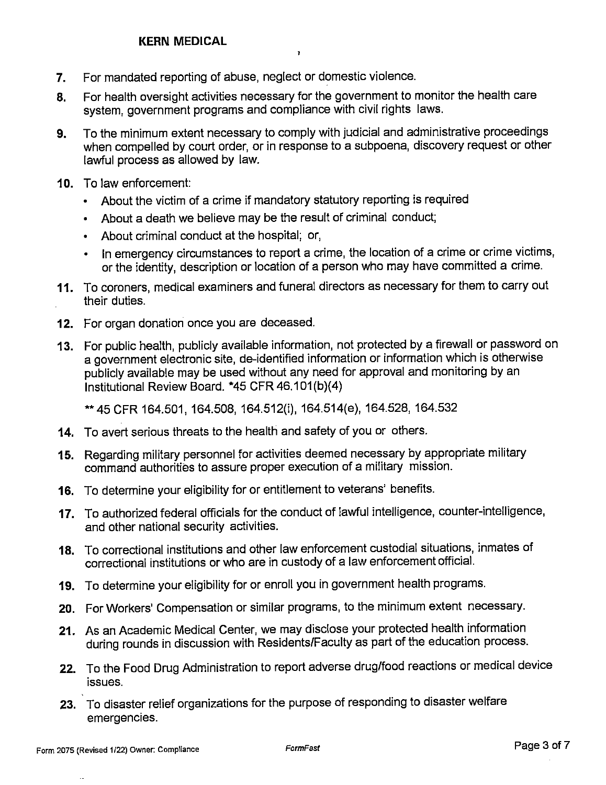- 7. For mandated reporting of abuse, neglect or domestic violence.
- 8. For health oversight activities necessary for the government to monitor the health care system, government programs and compliance with civil rights laws.

1

- 9. To the minimum extent necessary to comply with judicial and administrative proceedings when compelled by court order, or in response to a subpoena, discovery request or other lawful process as allowed by law.
- 10. To law enforcement:
	- About the victim of a crime if mandatory statutory reporting is required
	- About a death we believe may be the result of criminal conduct;
	- About criminal conduct at the hospital; or,
	- In emergency circumstances to report a crime, the location of a crime or crime victims, or the identity, description or location of a person who may have committed a crime.
- 11. To coroners, medical examiners and funeral directors as necessary for them to carry out their duties.
- 12. For organ donation once you are deceased.
- 13. For public health, publicly available information, not protected by a firewall or password on a government electronic site, de-identified information or information which is otherwise publicly available may be used without any need for approval and monitoring by an Institutional Review Board. \*45 CFR 46.101 (b)(4)

\*\*45 CFR 164.501, 164.508, 164.512(i), 164.514(e), 164.528, 164.532

- 14. To avert serious threats to the health and safety of you or others.
- 15. Regarding military personnel for activities deemed necessary by appropriate military command authorities to assure proper execution of a military mission.
- 16. To determine your eligibility for or entitlement to veterans' benefits.
- 17. To authorized federal officials for the conduct of lawful intelligence, counter-intelligence, and other national security activities.
- 18. To correctional institutions and other law enforcement custodial situations, inmates of correctional institutions or who are in custody of a law enforcement official.
- 19. To determine your eligibility for or enroll you in government health programs.
- 20. For Workers' Compensation or similar programs, to the minimum extent necessary.
- 21. As an Academic Medical Center, we may disclose your protected health information during rounds in discussion with Residents/Faculty as part of the education process.
- 22. To the Food Drug Administration to report adverse drug/food reactions or medical device issues.
- 23. To disaster relief organizations for the purpose of responding to disaster welfare emergencies.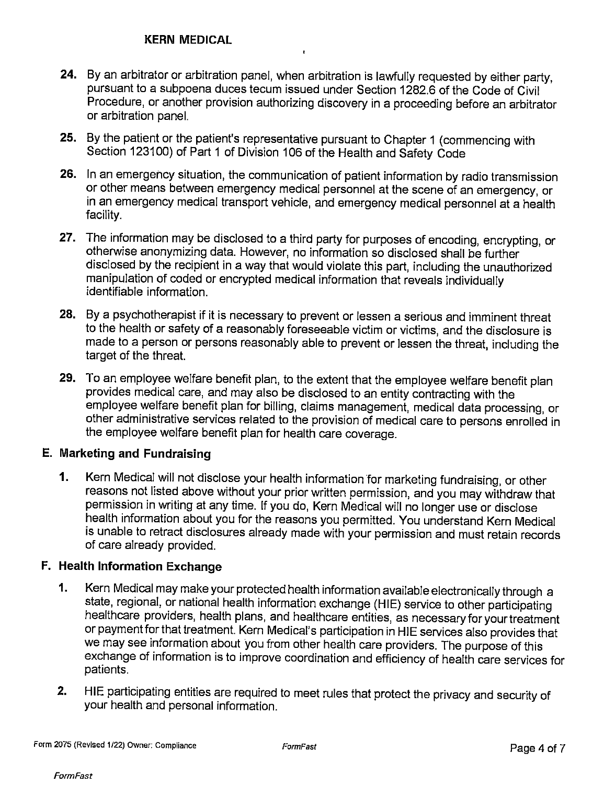## KERN MEDICAL

24. By an arbitrator or arbitration panel, when arbitration is lawfully requested by either party, pursuant to a subpoena duces tecum issued under Section 1282.6 of the Code of Civil Procedure, or another provision authorizing discovery in a proceeding before an arbitrator or arbitration panel.

 $\mathbf{r}$ 

- 25. By the patient or the patient's representative pursuant to Chapter 1 (commencing with Section 123100) of Part 1 of Division 106 of the Health and Safety Code
- 26. In an emergency situation, the communication of patient information by radio transmission or other means between emergency medical personnel at the scene of an emergency, or in an emergency medical transport vehicle, and emergency medical personnel at a health facility.
- 27. The information may be disclosed to a third party for purposes of encoding, encrypting, or otherwise anonymizing data. However, no information so disclosed shall be further disclosed by the recipient in a way that would violate this part, including the unauthorized manipulation of coded or encrypted medical information that reveals individually identifiable information.
- 28. By a psychotherapist if it is necessary to prevent or lessen a serious and imminent threat to the health or safety of a reasonably foreseeable victim or victims, and the disclosure is made to a person or persons reasonably able to prevent or lessen the threat, including the target of the threat.
- 29. To an employee welfare benefit plan, to the extent that the employee welfare benefit plan provides medical care, and may also be disclosed to an entity contracting with the employee welfare benefit plan for billing, claims management, medical data processing, or other administrative services related to the provision of medical care to persons enrolled in the employee welfare benefit plan for health care coverage.

# E. Marketing and Fundraising

1. Kern Medical will not disclose your health information for marketing fundraising, or other reasons not listed above without your prior written permission, and you may withdraw that permission in writing at any time. If you do. Kern Medical will no longer use or disclose health information about you for the reasons you permitted. You understand Kern Medical is unable to retract disclosures already made with your permission and must retain records of care already provided.

## F. Health Information Exchange

- 1. Kern Medical may make your protected health information available electronically through a state, regional, or national health information exchange (HIE) service to other participating healthcare providers, health plans, and healthcare entities, as necessary for your treatment or payment for that treatment. Kern Medical's participation in HIE services also provides that we may see information about you from other health care providers. The purpose of this exchange of information is to improve coordination and efficiency of health care services for patients.
- 2. HIE participating entities are required to meet rules that protect the privacy and security of your health and personal information.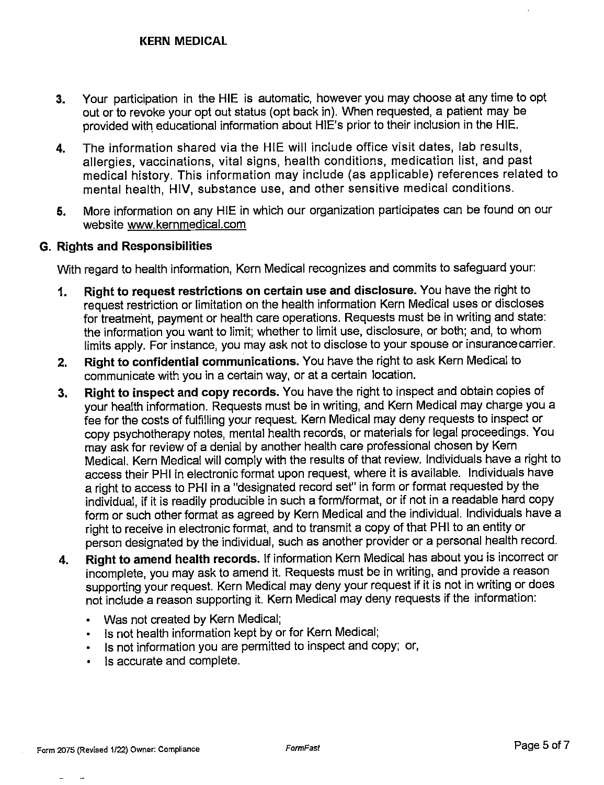- 3. Your participation in the HIE is automatic, however you may choose at any time to opt out or to revoke your opt out status (opt back in). When requested, a patient may be provided with educational information about HlE's prior to their inclusion in the HIE.
- 4. The information shared via the HIE will include office visit dates, lab results, allergies, vaccinations, vital signs, health conditions, medication list, and past medical history. This information may include (as applicable) references related to mental health, HIV, substance use, and other sensitive medical conditions.
- 5. More information on any HIE in which our organization participates can be found on our website www.kernmedical.com

## G. Rights and Responsibilities

With regard to health information, Kern Medical recognizes and commits to safeguard your:

- 1. Right to request restrictions on certain use and disclosure. You have the right to request restriction or limitation on the health information Kern Medical uses or discloses for treatment, payment or health care operations. Requests must be in writing and state: the information you want to limit; whether to limit use, disclosure, or both; and. to whom limits apply. For instance, you may ask not to disclose to your spouse or insurance carrier.
- 2. Right to confidential communications. You have the right to ask Kern Medical to communicate with you in a certain way, or at a certain location.
- 3. Right to inspect and copy records. You have the right to inspect and obtain copies of your health information. Requests must be in writing, and Kern Medical may charge you a fee for the costs of fulfilling your request. Kern Medical may deny requests to inspect or copy psychotherapy notes, mental health records, or materials for legal proceedings. You may ask for review of a denial by another health care professional chosen by Kern Medical. Kern Medical will comply with the results of that review. Individuals have a right to access their PHI in electronic format upon request, where it is available. Individuals have a right to access to PHI in a "designated record set" in form or format requested by the individual, if it is readily producible in such a form/format, or if not in a readable hard copy form or such other format as agreed by Kern Medical and the individual. Individuals have a right to receive in electronic format, and to transmit a copy of that PHI to an entity or person designated by the individual, such as another provider or a personal health record.
- 4. Right to amend health records. If information Kern Medical has about you is incorrect or incomplete, you may ask to amend it. Requests must be in writing, and provide a reason supporting your request. Kern Medical may deny your request if it is not in writing or does not include a reason supporting it. Kern Medical may deny requests if the information:
	- Was not created by Kern Medical;
	- Is not health information kept by or for Kern Medical;
	- Is not information you are permitted to inspect and copy; or,
	- Is accurate and complete.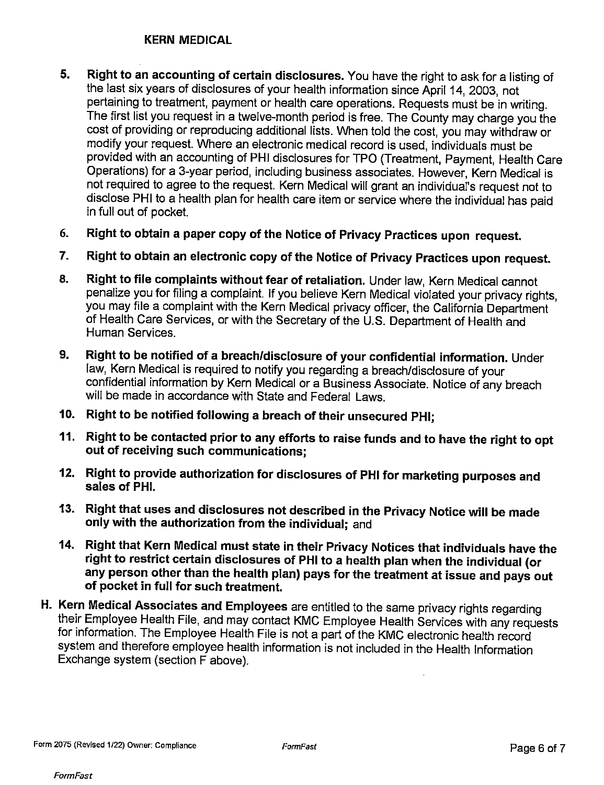## KERN MEDICAL

- 5. Right to an accounting of certain disclosures. You have the right to ask for a listing of the last six years of disclosures of your health information since April 14, 2003, not pertaining to treatment, payment or health care operations. Requests must be in writing. The first list you request in a twelve-month period is free. The County may charge you the cost of providing or reproducing additional lists. When told the cost, you may withdraw or modify your request. Where an electronic medical record is used, individuals must be provided with an accounting of PHI disclosures for TPO (Treatment, Payment, Health Care Operations) for a 3-year period, including business associates. However, Kern Medical is not required to agree to the request. Kern Medical will grant an individual's request not to disclose PHI to a health plan for health care item or service where the individual has paid in full out of pocket.
- 6. Right to obtain a paper copy of the Notice of Privacy Practices upon request.
- 7. Right to obtain an electronic copy of the Notice of Privacy Practices upon request.
- 8. Right to file complaints without fear of retaliation. Under law, Kern Medical cannot penalize you for filing a complaint. If you believe Kern Medical violated your privacy rights, you may file a complaint with the Kern Medical privacy officer, the California Department ' of Health Care Services, or with the Secretary of the U.S. Department of Health and Human Services.
- 9. Right to be notified of a breach/disclosure of your confidential information. Under law. Kern Medical is required to notify you regarding a breach/disclosure of your confidential information by Kern Medical or a Business Associate. Notice of any breach will be made in accordance with State and Federal Laws.
- 10. Right to be notified following a breach of their unsecured PHI;
- 11. Right to be contacted prior to any efforts to raise funds and to have the right to opt out of receiving such communications;
- 12. Right to provide authorization for disclosures of PHI for marketing purposes and sales of PHI.
- 13. Right that uses and disclosures not described in the Privacy Notice will be made only with the authorization from the individual; and
- 14. Right that Kern Medical must state in their Privacy Notices that individuals have the right to restrict certain disclosures of PHI to a health plan when the individual (or any person other than the health plan) pays for the treatment at issue and pays out of pocket in full for such treatment.
- H. Kern Medical Associates and Employees are entitled to the same privacy rights regarding their Employee Health File, and may contact KMC Employee Health Services with any requests for information. The Employee Health File is not a part of the KMC electronic health record system and therefore employee health information is not included in the Health Information Exchange system (section F above).